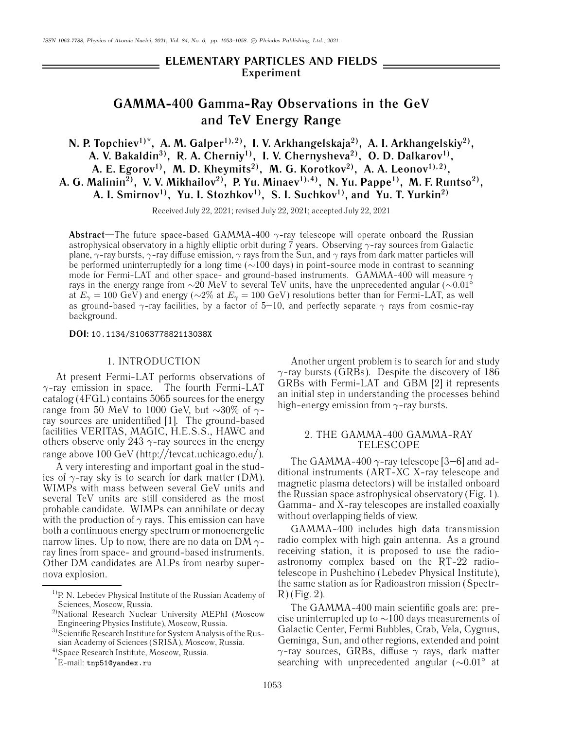# **ELEMENTARY PARTICLES AND FIELDS Experiment**

# **GAMMA-400 Gamma-Ray Observations in the GeV and TeV Energy Range**

**N. P. Topchiev<sup>1)\*</sup>, A. M. Galper<sup>1),2)</sup>, I. V. Arkhangelskaja<sup>2)</sup>, A. I. Arkhangelskiy<sup>2)</sup>, A. V. Bakaldin3), R. A. Cherniy1), I. V. Chernysheva2), O. D. Dalkarov1),** A. E. Egorov<sup>1)</sup>, M. D. Kheymits<sup>2)</sup>, M. G. Korotkov<sup>2)</sup>, A. A. Leonov<sup>1),2)</sup>, A. G. Malinin<sup>2)</sup>, V. V. Mikhailov<sup>2)</sup>, P. Yu. Minaev<sup>1),4)</sup>, N. Yu. Pappe<sup>1)</sup>, M. F. Runtso<sup>2)</sup>, A. I. Smirnov<sup>1)</sup>, Yu. I. Stozhkov<sup>1</sup>, S. I. Suchkov<sup>1</sup>, and Yu. T. Yurkin<sup>2</sup>)

Received July 22, 2021; revised July 22, 2021; accepted July 22, 2021

**Abstract**—The future space-based GAMMA-400 γ-ray telescope will operate onboard the Russian astrophysical observatory in a highly elliptic orbit during 7 years. Observing  $\gamma$ -ray sources from Galactic plane,  $\gamma$ -ray bursts,  $\gamma$ -ray diffuse emission,  $\gamma$  rays from the Sun, and  $\gamma$  rays from dark matter particles will be performed uninterruptedly for a long time (∼100 days) in point-source mode in contrast to scanning mode for Fermi-LAT and other space- and ground-based instruments. GAMMA-400 will measure  $\gamma$ rays in the energy range from ∼20 MeV to several TeV units, have the unprecedented angular (∼0.01◦ at  $E_{\gamma} = 100 \text{ GeV}$ ) and energy ( $\sim 2\%$  at  $E_{\gamma} = 100 \text{ GeV}$ ) resolutions better than for Fermi-LAT, as well as ground-based  $\gamma$ -ray facilities, by a factor of 5–10, and perfectly separate  $\gamma$  rays from cosmic-ray background.

#### **DOI:** 10.1134/S106377882113038X

#### 1. INTRODUCTION

At present Fermi-LAT performs observations of  $\gamma$ -ray emission in space. The fourth Fermi-LAT catalog (4FGL) contains 5065 sources for the energy range from 50 MeV to 1000 GeV, but ∼30% of γray sources are unidentified [1]. The ground-based facilities VERITAS, MAGIC, H.E.S.S., HAWC and others observe only 243  $\gamma$ -ray sources in the energy range above 100 GeV (http://tevcat.uchicago.edu/).

A very interesting and important goal in the studies of  $\gamma$ -ray sky is to search for dark matter (DM). WIMPs with mass between several GeV units and several TeV units are still considered as the most probable candidate. WIMPs can annihilate or decay with the production of  $\gamma$  rays. This emission can have both a continuous energy spectrum or monoenergetic narrow lines. Up to now, there are no data on DM  $\gamma$ ray lines from space- and ground-based instruments. Other DM candidates are ALPs from nearby supernova explosion.

\* E-mail: tnp51@yandex.ru

Another urgent problem is to search for and study  $\gamma$ -ray bursts (GRBs). Despite the discovery of 186 GRBs with Fermi-LAT and GBM [2] it represents an initial step in understanding the processes behind high-energy emission from  $\gamma$ -ray bursts.

## 2. THE GAMMA-400 GAMMA-RAY TELESCOPE

The GAMMA-400  $\gamma$ -ray telescope [3–6] and additional instruments (ART-XC X-ray telescope and magnetic plasma detectors) will be installed onboard the Russian space astrophysical observatory (Fig. 1). Gamma- and X-ray telescopes are installed coaxially without overlapping fields of view.

GAMMA-400 includes high data transmission radio complex with high gain antenna. As a ground receiving station, it is proposed to use the radioastronomy complex based on the RT-22 radiotelescope in Pushchino (Lebedev Physical Institute), the same station as for Radioastron mission (Spectr-R) (Fig. 2).

The GAMMA-400 main scientific goals are: precise uninterrupted up to ∼100 days measurements of Galactic Center, Fermi Bubbles, Crab, Vela, Cygnus, Geminga, Sun, and other regions, extended and point  $\gamma$ -ray sources, GRBs, diffuse  $\gamma$  rays, dark matter searching with unprecedented angular (∼0.01° at

<sup>&</sup>lt;sup>1)</sup>P. N. Lebedev Physical Institute of the Russian Academy of Sciences, Moscow, Russia.

<sup>&</sup>lt;sup>2)</sup>National Research Nuclear University MEPhI (Moscow Engineering Physics Institute), Moscow, Russia.

<sup>&</sup>lt;sup>3)</sup>Scientific Research Institute for System Analysis of the Russian Academy of Sciences (SRISA), Moscow, Russia.

<sup>4)</sup>Space Research Institute, Moscow, Russia.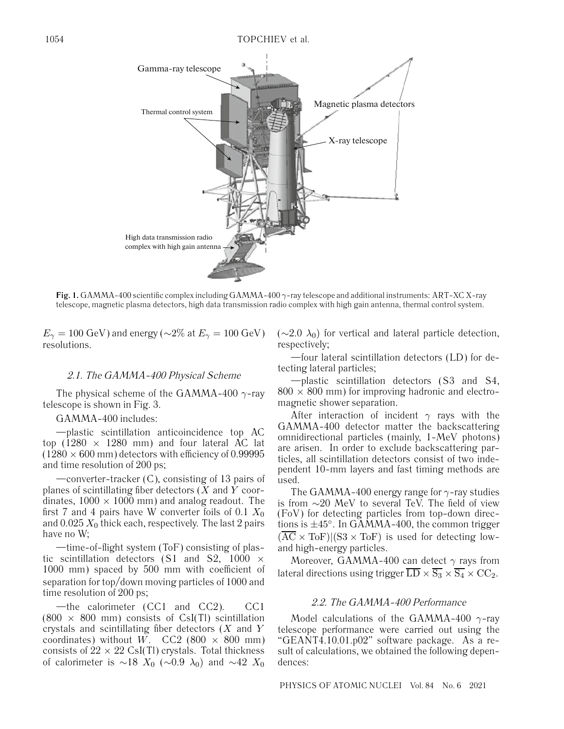

**Fig. 1.** GAMMA-400 scientific complex including GAMMA-400 γ-ray telescope and additional instruments: ART-XC X-ray telescope, magnetic plasma detectors, high data transmission radio complex with high gain antenna, thermal control system.

 $E_{\gamma} = 100 \text{ GeV}$ ) and energy ( $\sim$ 2% at  $E_{\gamma} = 100 \text{ GeV}$ ) resolutions.

#### 2.1. The GAMMA-400 Physical Scheme

The physical scheme of the GAMMA-400  $\gamma$ -ray telescope is shown in Fig. 3.

#### GAMMA-400 includes:

—plastic scintillation anticoincidence top AC top (1280  $\times$  1280 mm) and four lateral AC lat  $(1280 \times 600 \text{ mm})$  detectors with efficiency of 0.99995 and time resolution of 200 ps;

—converter-tracker (C), consisting of 13 pairs of planes of scintillating fiber detectors  $(X \text{ and } Y \text{ coor-}$ dinates,  $1000 \times 1000$  mm) and analog readout. The first 7 and 4 pairs have W converter foils of 0.1  $X_0$ and  $0.025 X_0$  thick each, respectively. The last 2 pairs have no W;

—time-of-flight system (ToF) consisting of plastic scintillation detectors (S1 and S2, 1000  $\times$ 1000 mm) spaced by 500 mm with coefficient of separation for top/down moving particles of 1000 and time resolution of 200 ps;

—the calorimeter (CC1 and CC2). CC1  $(800 \times 800 \text{ mm})$  consists of CsI(Tl) scintillation crystals and scintillating fiber detectors  $(X \text{ and } Y)$ coordinates) without W. CC2 (800  $\times$  800 mm) consists of  $22 \times 22$  CsI(Tl) crystals. Total thickness of calorimeter is ∼18  $X_0$  (∼0.9  $\lambda_0$ ) and ∼42  $X_0$   $(\sim$ 2.0  $\lambda$ <sub>0</sub>) for vertical and lateral particle detection, respectively;

—four lateral scintillation detectors (LD) for detecting lateral particles;

—plastic scintillation detectors (S3 and S4,  $800 \times 800$  mm) for improving hadronic and electromagnetic shower separation.

After interaction of incident  $\gamma$  rays with the GAMMA-400 detector matter the backscattering omnidirectional particles (mainly, 1-MeV photons) are arisen. In order to exclude backscattering particles, all scintillation detectors consist of two independent 10-mm layers and fast timing methods are used.

The GAMMA-400 energy range for  $\gamma$ -ray studies is from ∼20 MeV to several TeV. The field of view (FoV) for detecting particles from top-down directions is  $\pm 45^\circ$ . In GAMMA-400, the common trigger  $(AC \times ToF)|(S3 \times ToF)$  is used for detecting lowand high-energy particles.

Moreover, GAMMA-400 can detect  $\gamma$  rays from lateral directions using trigger  $\overline{LD} \times \overline{S_3} \times \overline{S_4} \times CC_2$ .

## 2.2. The GAMMA-400 Performance

Model calculations of the GAMMA-400  $\gamma$ -ray telescope performance were carried out using the "GEANT4.10.01.p02" software package. As a result of calculations, we obtained the following dependences:

PHYSICS OF ATOMIC NUCLEI Vol. 84 No. 6 2021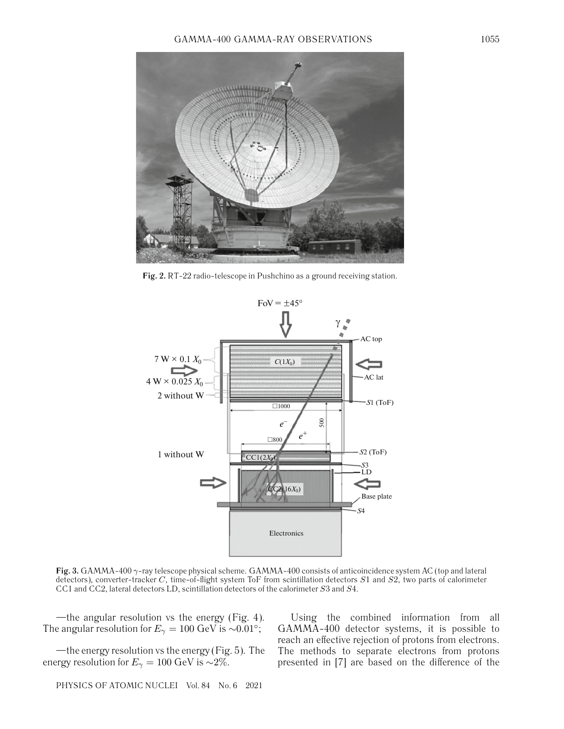

**Fig. 2.** RT-22 radio-telescope in Pushchino as a ground receiving station.



**Fig. 3.** GAMMA-400 γ-ray telescope physical scheme. GAMMA-400 consists of anticoincidence system AC (top and lateral detectors), converter-tracker  $C$ , time-of-flight system ToF from scintillation detectors  $S1$  and  $S2$ , two parts of calorimeter CC1 and CC2, lateral detectors LD, scintillation detectors of the calorimeter S3 and S4.

—the angular resolution vs the energy (Fig. 4). The angular resolution for  $E_{\gamma} = 100 \text{ GeV}$  is ~0.01°;

—the energy resolution vs the energy (Fig. 5). The energy resolution for  $E_{\gamma} = 100 \text{ GeV}$  is ~2%.

Using the combined information from all GAMMA-400 detector systems, it is possible to reach an effective rejection of protons from electrons. The methods to separate electrons from protons presented in [7] are based on the difference of the

PHYSICS OF ATOMIC NUCLEI Vol. 84 No. 6 2021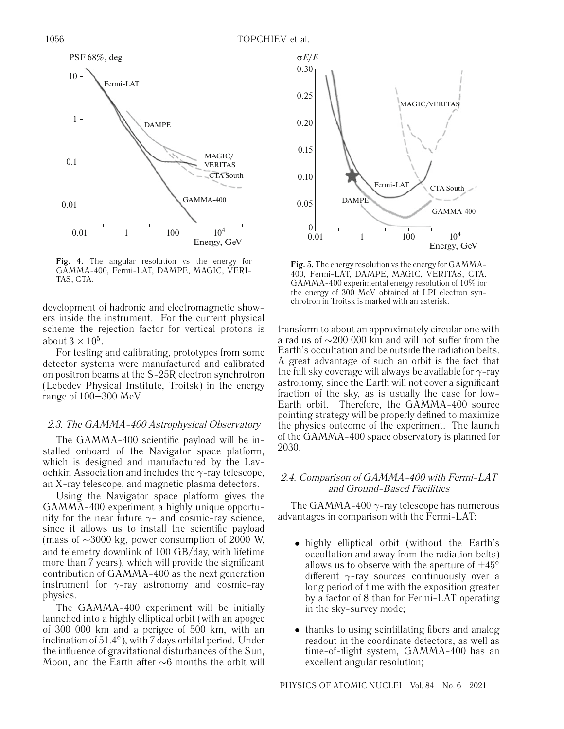

**Fig. 4.** The angular resolution vs the energy for GAMMA-400, Fermi-LAT, DAMPE, MAGIC, VERI-TAS, CTA.

development of hadronic and electromagnetic showers inside the instrument. For the current physical scheme the rejection factor for vertical protons is about  $3 \times 10^5$ .

For testing and calibrating, prototypes from some detector systems were manufactured and calibrated on positron beams at the S-25R electron synchrotron (Lebedev Physical Institute, Troitsk) in the energy range of 100–300 MeV.

## 2.3. The GAMMA-400 Astrophysical Observatory

The GAMMA-400 scientific payload will be installed onboard of the Navigator space platform, which is designed and manufactured by the Lavochkin Association and includes the  $\gamma$ -ray telescope, an X-ray telescope, and magnetic plasma detectors.

Using the Navigator space platform gives the GAMMA-400 experiment a highly unique opportunity for the near future  $\gamma$ - and cosmic-ray science, since it allows us to install the scientific payload (mass of ∼3000 kg, power consumption of 2000 W, and telemetry downlink of 100 GB/day, with lifetime more than 7 years), which will provide the significant contribution of GAMMA-400 as the next generation instrument for  $\gamma$ -ray astronomy and cosmic-ray physics.

The GAMMA-400 experiment will be initially launched into a highly elliptical orbit (with an apogee of 300 000 km and a perigee of 500 km, with an inclination of 51.4◦), with 7 days orbital period. Under the influence of gravitational disturbances of the Sun, Moon, and the Earth after ∼6 months the orbit will



**Fig. 5.** The energy resolution vs the energy for GAMMA-400, Fermi-LAT, DAMPE, MAGIC, VERITAS, CTA. GAMMA-400 experimental energy resolution of 10% for the energy of 300 MeV obtained at LPI electron synchrotron in Troitsk is marked with an asterisk.

transform to about an approximately circular one with a radius of ∼200 000 km and will not suffer from the Earth's occultation and be outside the radiation belts. A great advantage of such an orbit is the fact that the full sky coverage will always be available for  $\gamma$ -ray astronomy, since the Earth will not cover a significant fraction of the sky, as is usually the case for low-Earth orbit. Therefore, the GAMMA-400 source pointing strategy will be properly defined to maximize the physics outcome of the experiment. The launch of the GAMMA-400 space observatory is planned for 2030.

## 2.4. Comparison of GAMMA-400 with Fermi-LAT and Ground-Based Facilities

The GAMMA-400  $\gamma$ -ray telescope has numerous advantages in comparison with the Fermi-LAT:

- highly elliptical orbit (without the Earth's occultation and away from the radiation belts) allows us to observe with the aperture of  $\pm 45^{\circ}$ different  $\gamma$ -ray sources continuously over a long period of time with the exposition greater by a factor of 8 than for Fermi-LAT operating in the sky-survey mode;
- thanks to using scintillating fibers and analog readout in the coordinate detectors, as well as time-of-flight system, GAMMA-400 has an excellent angular resolution;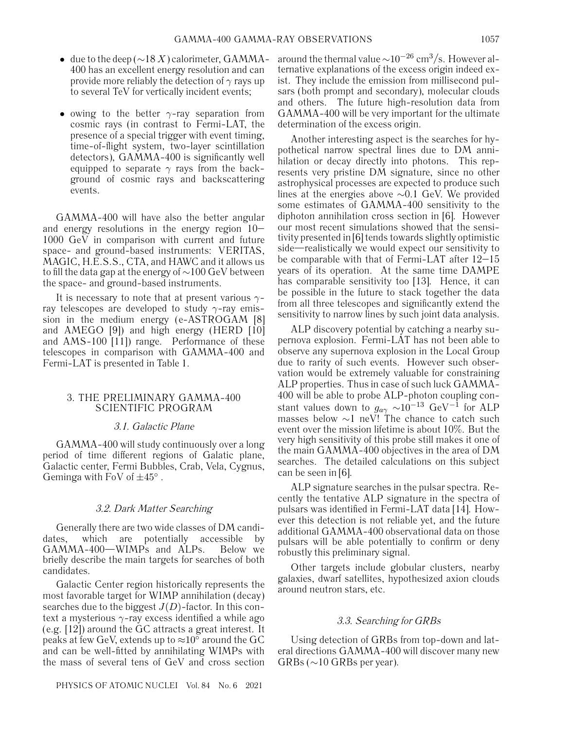- due to the deep ( $\sim$ 18 X) calorimeter, GAMMA-400 has an excellent energy resolution and can provide more reliably the detection of  $\gamma$  rays up to several TeV for vertically incident events;
- owing to the better  $\gamma$ -ray separation from cosmic rays (in contrast to Fermi-LAT, the presence of a special trigger with event timing, time-of-flight system, two-layer scintillation detectors), GAMMA-400 is significantly well equipped to separate  $\gamma$  rays from the background of cosmic rays and backscattering events.

GAMMA-400 will have also the better angular and energy resolutions in the energy region 10– 1000 GeV in comparison with current and future space- and ground-based instruments: VERITAS, MAGIC, H.E.S.S., CTA, and HAWC and it allows us to fill the data gap at the energy of ∼100 GeV between the space- and ground-based instruments.

It is necessary to note that at present various  $\gamma$ ray telescopes are developed to study  $\gamma$ -ray emission in the medium energy (e-ASTROGAM [8] and AMEGO [9]) and high energy (HERD [10] and AMS-100 [11]) range. Performance of these telescopes in comparison with GAMMA-400 and Fermi-LAT is presented in Table 1.

## 3. THE PRELIMINARY GAMMA-400 SCIENTIFIC PROGRAM

## 3.1. Galactic Plane

GAMMA-400 will study continuously over a long period of time different regions of Galatic plane, Galactic center, Fermi Bubbles, Crab, Vela, Cygnus, Geminga with FoV of  $\pm 45^\circ$ .

#### 3.2. Dark Matter Searching

Generally there are two wide classes of DM candidates, which are potentially accessible by GAMMA-400—WIMPs and ALPs. Below we briefly describe the main targets for searches of both candidates.

Galactic Center region historically represents the most favorable target for WIMP annihilation (decay) searches due to the biggest  $J(D)$ -factor. In this context a mysterious  $\gamma$ -ray excess identified a while ago (e.g. [12]) around the GC attracts a great interest. It peaks at few GeV, extends up to  $\approx 10^{\circ}$  around the GC and can be well-fitted by annihilating WIMPs with the mass of several tens of GeV and cross section around the thermal value  $\sim 10^{-26}$  cm<sup>3</sup>/s. However alternative explanations of the excess origin indeed exist. They include the emission from millisecond pulsars (both prompt and secondary), molecular clouds and others. The future high-resolution data from GAMMA-400 will be very important for the ultimate determination of the excess origin.

Another interesting aspect is the searches for hypothetical narrow spectral lines due to DM annihilation or decay directly into photons. This represents very pristine DM signature, since no other astrophysical processes are expected to produce such lines at the energies above ∼0.1 GeV. We provided some estimates of GAMMA-400 sensitivity to the diphoton annihilation cross section in [6]. However our most recent simulations showed that the sensitivity presented in [6] tends towards slightly optimistic side—realistically we would expect our sensitivity to be comparable with that of Fermi-LAT after 12–15 years of its operation. At the same time DAMPE has comparable sensitivity too [13]. Hence, it can be possible in the future to stack together the data from all three telescopes and significantly extend the sensitivity to narrow lines by such joint data analysis.

ALP discovery potential by catching a nearby supernova explosion. Fermi-LAT has not been able to observe any supernova explosion in the Local Group due to rarity of such events. However such observation would be extremely valuable for constraining ALP properties. Thus in case of such luck GAMMA-400 will be able to probe ALP-photon coupling constant values down to  $g_{a\gamma} \sim 10^{-13}$  GeV<sup>-1</sup> for ALP masses below ∼1 neV! The chance to catch such event over the mission lifetime is about 10%. But the very high sensitivity of this probe still makes it one of the main GAMMA-400 objectives in the area of DM searches. The detailed calculations on this subject can be seen in [6].

ALP signature searches in the pulsar spectra. Recently the tentative ALP signature in the spectra of pulsars was identified in Fermi-LAT data [14]. However this detection is not reliable yet, and the future additional GAMMA-400 observational data on those pulsars will be able potentially to confirm or deny robustly this preliminary signal.

Other targets include globular clusters, nearby galaxies, dwarf satellites, hypothesized axion clouds around neutron stars, etc.

#### 3.3. Searching for GRBs

Using detection of GRBs from top-down and lateral directions GAMMA-400 will discover many new GRBs (∼10 GRBs per year).